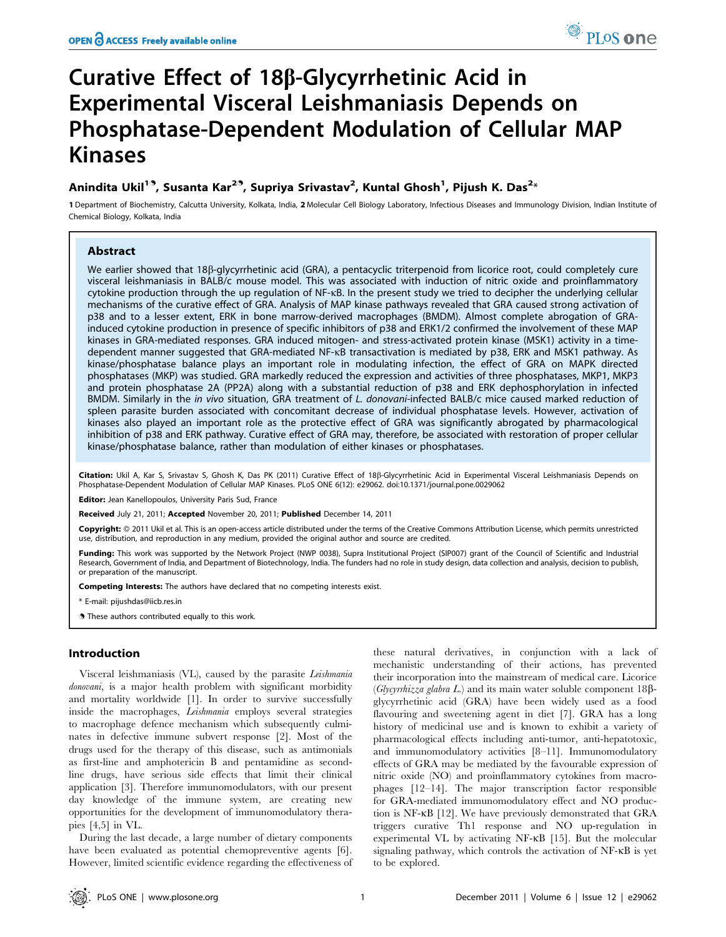# Curative Effect of 18b-Glycyrrhetinic Acid in Experimental Visceral Leishmaniasis Depends on Phosphatase-Dependent Modulation of Cellular MAP Kinases

## Anindita Ukil<sup>19</sup>, Susanta Kar<sup>29</sup>, Supriya Srivastav<sup>2</sup>, Kuntal Ghosh<sup>1</sup>, Pijush K. Das<sup>2</sup>\*

1 Department of Biochemistry, Calcutta University, Kolkata, India, 2 Molecular Cell Biology Laboratory, Infectious Diseases and Immunology Division, Indian Institute of Chemical Biology, Kolkata, India

## Abstract

We earlier showed that 18ß-glycyrrhetinic acid (GRA), a pentacyclic triterpenoid from licorice root, could completely cure visceral leishmaniasis in BALB/c mouse model. This was associated with induction of nitric oxide and proinflammatory cytokine production through the up regulation of NF-kB. In the present study we tried to decipher the underlying cellular mechanisms of the curative effect of GRA. Analysis of MAP kinase pathways revealed that GRA caused strong activation of p38 and to a lesser extent, ERK in bone marrow-derived macrophages (BMDM). Almost complete abrogation of GRAinduced cytokine production in presence of specific inhibitors of p38 and ERK1/2 confirmed the involvement of these MAP kinases in GRA-mediated responses. GRA induced mitogen- and stress-activated protein kinase (MSK1) activity in a timedependent manner suggested that GRA-mediated NF-kB transactivation is mediated by p38, ERK and MSK1 pathway. As kinase/phosphatase balance plays an important role in modulating infection, the effect of GRA on MAPK directed phosphatases (MKP) was studied. GRA markedly reduced the expression and activities of three phosphatases, MKP1, MKP3 and protein phosphatase 2A (PP2A) along with a substantial reduction of p38 and ERK dephosphorylation in infected BMDM. Similarly in the in vivo situation, GRA treatment of L. donovani-infected BALB/c mice caused marked reduction of spleen parasite burden associated with concomitant decrease of individual phosphatase levels. However, activation of kinases also played an important role as the protective effect of GRA was significantly abrogated by pharmacological inhibition of p38 and ERK pathway. Curative effect of GRA may, therefore, be associated with restoration of proper cellular kinase/phosphatase balance, rather than modulation of either kinases or phosphatases.

Citation: Ukil A, Kar S, Srivastav S, Ghosh K, Das PK (2011) Curative Effect of 18ß-Glycyrrhetinic Acid in Experimental Visceral Leishmaniasis Depends on Phosphatase-Dependent Modulation of Cellular MAP Kinases. PLoS ONE 6(12): e29062. doi:10.1371/journal.pone.0029062

Editor: Jean Kanellopoulos, University Paris Sud, France

Received July 21, 2011; Accepted November 20, 2011; Published December 14, 2011

Copyright: © 2011 Ukil et al. This is an open-access article distributed under the terms of the Creative Commons Attribution License, which permits unrestricted use, distribution, and reproduction in any medium, provided the original author and source are credited.

Funding: This work was supported by the Network Project (NWP 0038), Supra Institutional Project (SIP007) grant of the Council of Scientific and Industrial Research, Government of India, and Department of Biotechnology, India. The funders had no role in study design, data collection and analysis, decision to publish, or preparation of the manuscript.

Competing Interests: The authors have declared that no competing interests exist.

\* E-mail: pijushdas@iicb.res.in

. These authors contributed equally to this work.

## Introduction

Visceral leishmaniasis (VL), caused by the parasite Leishmania donovani, is a major health problem with significant morbidity and mortality worldwide [1]. In order to survive successfully inside the macrophages, Leishmania employs several strategies to macrophage defence mechanism which subsequently culminates in defective immune subvert response [2]. Most of the drugs used for the therapy of this disease, such as antimonials as first-line and amphotericin B and pentamidine as secondline drugs, have serious side effects that limit their clinical application [3]. Therefore immunomodulators, with our present day knowledge of the immune system, are creating new opportunities for the development of immunomodulatory therapies [4,5] in VL.

During the last decade, a large number of dietary components have been evaluated as potential chemopreventive agents [6]. However, limited scientific evidence regarding the effectiveness of

these natural derivatives, in conjunction with a lack of mechanistic understanding of their actions, has prevented their incorporation into the mainstream of medical care. Licorice (Glycyrrhizza glabra L.) and its main water soluble component  $18\beta$ glycyrrhetinic acid (GRA) have been widely used as a food flavouring and sweetening agent in diet [7]. GRA has a long history of medicinal use and is known to exhibit a variety of pharmacological effects including anti-tumor, anti-hepatotoxic, and immunomodulatory activities [8–11]. Immunomodulatory effects of GRA may be mediated by the favourable expression of nitric oxide (NO) and proinflammatory cytokines from macrophages [12–14]. The major transcription factor responsible for GRA-mediated immunomodulatory effect and NO production is NF-kB [12]. We have previously demonstrated that GRA triggers curative Th1 response and NO up-regulation in experimental VL by activating NF-kB [15]. But the molecular signaling pathway, which controls the activation of NF-kB is yet to be explored.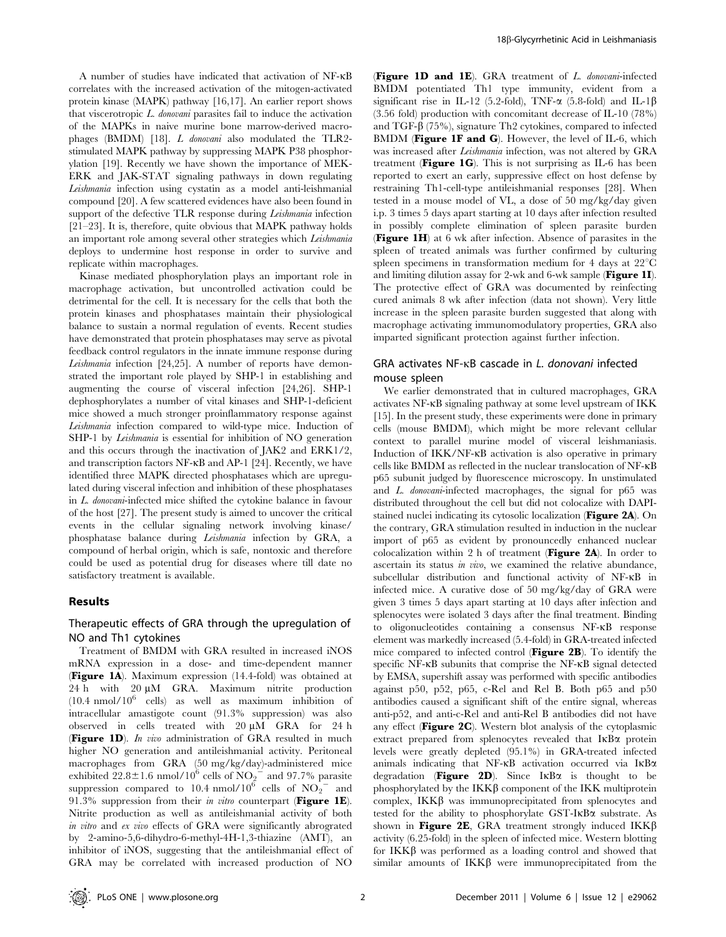A number of studies have indicated that activation of NF-kB correlates with the increased activation of the mitogen-activated protein kinase (MAPK) pathway [16,17]. An earlier report shows that viscerotropic L. donovani parasites fail to induce the activation of the MAPKs in naive murine bone marrow-derived macrophages (BMDM) [18]. L donovani also modulated the TLR2 stimulated MAPK pathway by suppressing MAPK P38 phosphorylation [19]. Recently we have shown the importance of MEK-ERK and JAK-STAT signaling pathways in down regulating Leishmania infection using cystatin as a model anti-leishmanial compound [20]. A few scattered evidences have also been found in support of the defective TLR response during Leishmania infection [21–23]. It is, therefore, quite obvious that MAPK pathway holds an important role among several other strategies which Leishmania deploys to undermine host response in order to survive and replicate within macrophages.

Kinase mediated phosphorylation plays an important role in macrophage activation, but uncontrolled activation could be detrimental for the cell. It is necessary for the cells that both the protein kinases and phosphatases maintain their physiological balance to sustain a normal regulation of events. Recent studies have demonstrated that protein phosphatases may serve as pivotal feedback control regulators in the innate immune response during Leishmania infection [24,25]. A number of reports have demonstrated the important role played by SHP-1 in establishing and augmenting the course of visceral infection [24,26]. SHP-1 dephosphorylates a number of vital kinases and SHP-1-deficient mice showed a much stronger proinflammatory response against Leishmania infection compared to wild-type mice. Induction of SHP-1 by *Leishmania* is essential for inhibition of NO generation and this occurs through the inactivation of JAK2 and ERK1/2, and transcription factors NF-kB and AP-1 [24]. Recently, we have identified three MAPK directed phosphatases which are upregulated during visceral infection and inhibition of these phosphatases in L. donovani-infected mice shifted the cytokine balance in favour of the host [27]. The present study is aimed to uncover the critical events in the cellular signaling network involving kinase/ phosphatase balance during Leishmania infection by GRA, a compound of herbal origin, which is safe, nontoxic and therefore could be used as potential drug for diseases where till date no satisfactory treatment is available.

## Results

## Therapeutic effects of GRA through the upregulation of NO and Th1 cytokines

Treatment of BMDM with GRA resulted in increased iNOS mRNA expression in a dose- and time-dependent manner (Figure 1A). Maximum expression (14.4-fold) was obtained at 24 h with  $20 \mu M$  GRA. Maximum nitrite production  $(10.4 \text{ nmol}/10^6 \text{ cells})$  as well as maximum inhibition of intracellular amastigote count (91.3% suppression) was also observed in cells treated with  $20 \mu M$  GRA for 24 h (Figure 1D). In vivo administration of GRA resulted in much higher NO generation and antileishmanial activity. Peritoneal macrophages from GRA (50 mg/kg/day)-administered mice exhibited  $22.8 \pm 1.6$  nmol/10<sup>6</sup> cells of NO<sub>2</sub><sup>-2</sup> and 97.7% parasite suppression compared to 10.4 nmol/10<sup>6</sup> cells of  $\overline{NO_2}^-$  and 91.3% suppression from their in vitro counterpart (Figure 1E). Nitrite production as well as antileishmanial activity of both in vitro and ex vivo effects of GRA were significantly abrograted by 2-amino-5,6-dihydro-6-methyl-4H-1,3-thiazine (AMT), an inhibitor of iNOS, suggesting that the antileishmanial effect of GRA may be correlated with increased production of NO

(Figure 1D and 1E). GRA treatment of L. donovani-infected BMDM potentiated Th1 type immunity, evident from a significant rise in IL-12 (5.2-fold), TNF- $\alpha$  (5.8-fold) and IL-1 $\beta$ (3.56 fold) production with concomitant decrease of IL-10 (78%) and TGF- $\beta$  (75%), signature Th2 cytokines, compared to infected BMDM (Figure 1F and G). However, the level of IL-6, which was increased after Leishmania infection, was not altered by GRA treatment ( $Figure 1G$ ). This is not surprising as IL-6 has been reported to exert an early, suppressive effect on host defense by restraining Th1-cell-type antileishmanial responses [28]. When tested in a mouse model of VL, a dose of 50 mg/kg/day given i.p. 3 times 5 days apart starting at 10 days after infection resulted in possibly complete elimination of spleen parasite burden (Figure 1H) at 6 wk after infection. Absence of parasites in the spleen of treated animals was further confirmed by culturing spleen specimens in transformation medium for 4 days at  $22^{\circ}$ C and limiting dilution assay for 2-wk and 6-wk sample (Figure 1I). The protective effect of GRA was documented by reinfecting cured animals 8 wk after infection (data not shown). Very little increase in the spleen parasite burden suggested that along with macrophage activating immunomodulatory properties, GRA also imparted significant protection against further infection.

## GRA activates NF-kB cascade in L. donovani infected mouse spleen

We earlier demonstrated that in cultured macrophages, GRA activates NF-kB signaling pathway at some level upstream of IKK [15]. In the present study, these experiments were done in primary cells (mouse BMDM), which might be more relevant cellular context to parallel murine model of visceral leishmaniasis. Induction of IKK/NF-kB activation is also operative in primary cells like BMDM as reflected in the nuclear translocation of NF-kB p65 subunit judged by fluorescence microscopy. In unstimulated and L. donovani-infected macrophages, the signal for p65 was distributed throughout the cell but did not colocalize with DAPIstained nuclei indicating its cytosolic localization (Figure 2A). On the contrary, GRA stimulation resulted in induction in the nuclear import of p65 as evident by pronouncedly enhanced nuclear colocalization within 2 h of treatment (Figure 2A). In order to ascertain its status in vivo, we examined the relative abundance, subcellular distribution and functional activity of NF-kB in infected mice. A curative dose of 50 mg/kg/day of GRA were given 3 times 5 days apart starting at 10 days after infection and splenocytes were isolated 3 days after the final treatment. Binding to oligonucleotides containing a consensus NF-kB response element was markedly increased (5.4-fold) in GRA-treated infected mice compared to infected control (Figure 2B). To identify the specific NF-kB subunits that comprise the NF-kB signal detected by EMSA, supershift assay was performed with specific antibodies against p50, p52, p65, c-Rel and Rel B. Both p65 and p50 antibodies caused a significant shift of the entire signal, whereas anti-p52, and anti-c-Rel and anti-Rel B antibodies did not have any effect (Figure 2C). Western blot analysis of the cytoplasmic extract prepared from splenocytes revealed that  $I\kappa B\alpha$  protein levels were greatly depleted (95.1%) in GRA-treated infected animals indicating that NF-KB activation occurred via IKB $\alpha$ degradation (**Figure 2D**). Since  $I \kappa B\alpha$  is thought to be phosphorylated by the  $IKK\beta$  component of the IKK multiprotein complex,  $IKK\beta$  was immunoprecipitated from splenocytes and tested for the ability to phosphorylate  $GST\text{-}I\kappa B\alpha$  substrate. As shown in **Figure 2E**, GRA treatment strongly induced  $IKK\beta$ activity (6.25-fold) in the spleen of infected mice. Western blotting for  $IKK\beta$  was performed as a loading control and showed that similar amounts of  $IKK\beta$  were immunoprecipitated from the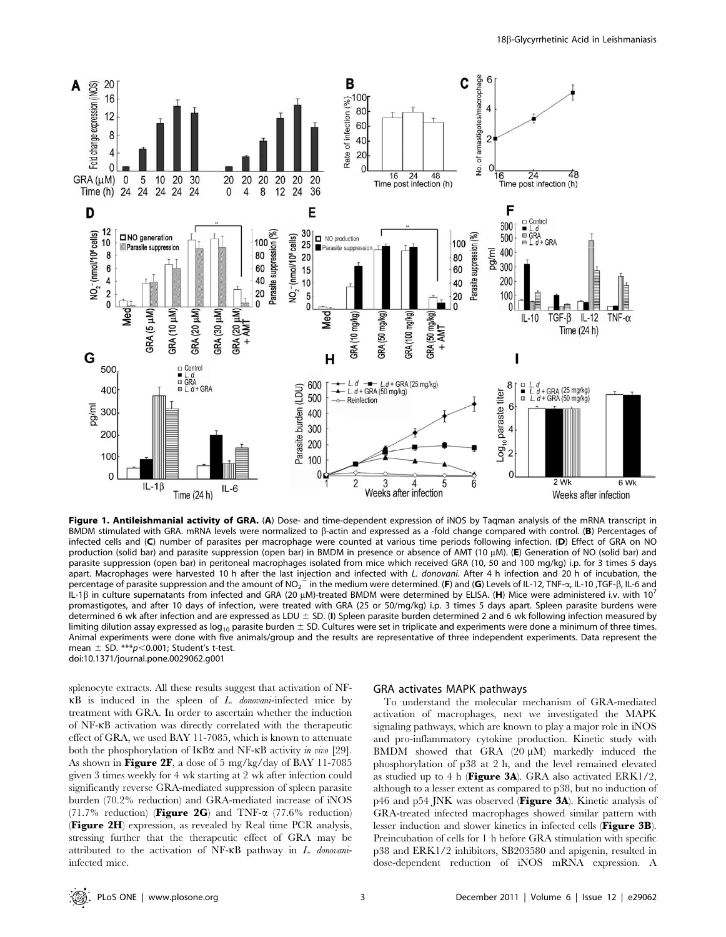

Figure 1. Antileishmanial activity of GRA. (A) Dose- and time-dependent expression of iNOS by Taqman analysis of the mRNA transcript in BMDM stimulated with GRA. mRNA levels were normalized to  $\beta$ -actin and expressed as a -fold change compared with control. (B) Percentages of infected cells and (C) number of parasites per macrophage were counted at various time periods following infection. (D) Effect of GRA on NO production (solid bar) and parasite suppression (open bar) in BMDM in presence or absence of AMT (10  $\mu$ M). (E) Generation of NO (solid bar) and parasite suppression (open bar) in peritoneal macrophages isolated from mice which received GRA (10, 50 and 100 mg/kg) i.p. for 3 times 5 days apart. Macrophages were harvested 10 h after the last injection and infected with L. donovani. After 4 h infection and 20 h of incubation, the percentage of parasite suppression and the amount of NO<sub>2</sub><sup>-</sup> in the medium were determined. (F) and (G) Levels of IL-12, TNF- $\alpha$ , IL-10 ,TGF-B, IL-6 and IL-1 $\beta$  in culture supernatants from infected and GRA (20  $\mu$ M)-treated BMDM were determined by ELISA. (H) Mice were administered i.v. with 10<sup>7</sup> promastigotes, and after 10 days of infection, were treated with GRA (25 or 50/mg/kg) i.p. 3 times 5 days apart. Spleen parasite burdens were determined 6 wk after infection and are expressed as LDU  $\pm$  SD. (I) Spleen parasite burden determined 2 and 6 wk following infection measured by limiting dilution assay expressed as  $log_{10}$  parasite burden  $\pm$  SD. Cultures were set in triplicate and experiments were done a minimum of three times. Animal experiments were done with five animals/group and the results are representative of three independent experiments. Data represent the mean  $\pm$  SD. \*\*\*p<0.001; Student's t-test. doi:10.1371/journal.pone.0029062.g001

splenocyte extracts. All these results suggest that activation of NF- $\kappa$ B is induced in the spleen of *L. donovani*-infected mice by treatment with GRA. In order to ascertain whether the induction of NF-kB activation was directly correlated with the therapeutic effect of GRA, we used BAY 11-7085, which is known to attenuate both the phosphorylation of  $I \kappa B \alpha$  and NF- $\kappa B$  activity in vivo [29]. As shown in Figure 2F, a dose of 5 mg/kg/day of BAY 11-7085 given 3 times weekly for 4 wk starting at 2 wk after infection could significantly reverse GRA-mediated suppression of spleen parasite burden (70.2% reduction) and GRA-mediated increase of iNOS (71.7% reduction) (Figure 2G) and TNF- $\alpha$  (77.6% reduction) (Figure 2H) expression, as revealed by Real time PCR analysis, stressing further that the therapeutic effect of GRA may be attributed to the activation of NF-kB pathway in L. donovaniinfected mice.

#### GRA activates MAPK pathways

To understand the molecular mechanism of GRA-mediated activation of macrophages, next we investigated the MAPK signaling pathways, which are known to play a major role in iNOS and pro-inflammatory cytokine production. Kinetic study with BMDM showed that GRA  $(20 \mu M)$  markedly induced the phosphorylation of p38 at 2 h, and the level remained elevated as studied up to 4 h (**Figure 3A**). GRA also activated  $ERK1/2$ , although to a lesser extent as compared to p38, but no induction of p46 and p54 JNK was observed (Figure 3A). Kinetic analysis of GRA-treated infected macrophages showed similar pattern with lesser induction and slower kinetics in infected cells (Figure 3B). Preincubation of cells for 1 h before GRA stimulation with specific p38 and ERK1/2 inhibitors, SB203580 and apigenin, resulted in dose-dependent reduction of iNOS mRNA expression. A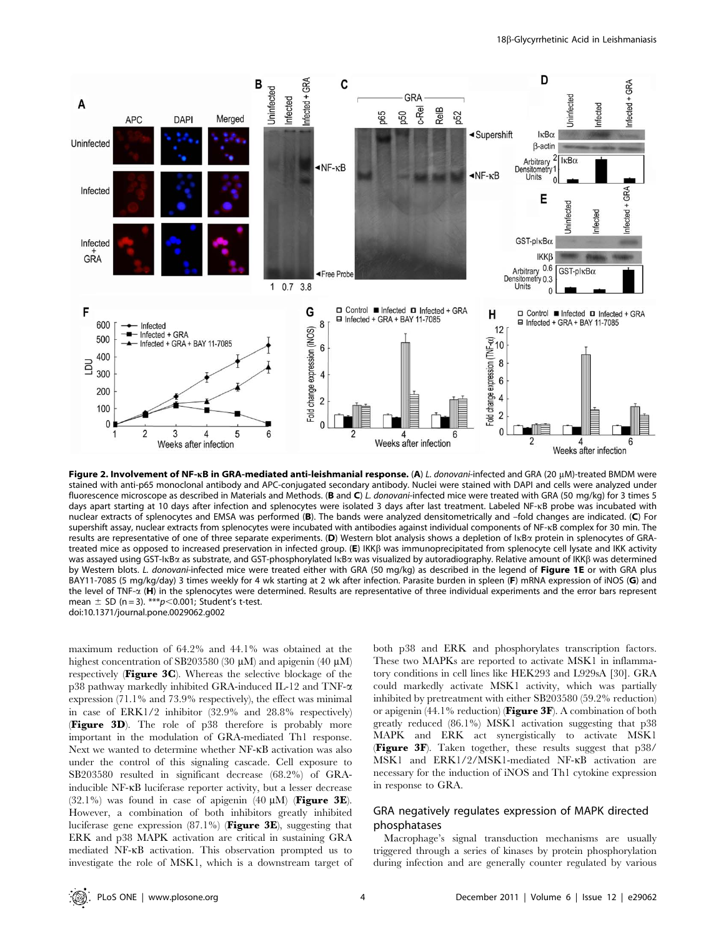

Figure 2. Involvement of NF-kB in GRA-mediated anti-leishmanial response. (A) L. donovani-infected and GRA (20 µM)-treated BMDM were stained with anti-p65 monoclonal antibody and APC-conjugated secondary antibody. Nuclei were stained with DAPI and cells were analyzed under fluorescence microscope as described in Materials and Methods. (B and C) L. donovani-infected mice were treated with GRA (50 mg/kg) for 3 times 5 days apart starting at 10 days after infection and splenocytes were isolated 3 days after last treatment. Labeled NF-kB probe was incubated with nuclear extracts of splenocytes and EMSA was performed (B). The bands were analyzed densitometrically and –fold changes are indicated. (C) For supershift assay, nuclear extracts from splenocytes were incubated with antibodies against individual components of NF-kB complex for 30 min. The results are representative of one of three separate experiments. (D) Western blot analysis shows a depletion of lκBα protein in splenocytes of GRAtreated mice as opposed to increased preservation in infected group. (E) IKKß was immunoprecipitated from splenocyte cell lysate and IKK activity was assayed using GST-IκBα as substrate, and GST-phosphorylated IκBα was visualized by autoradiography. Relative amount of IΚΚβ was determined by Western blots. L. donovani-infected mice were treated either with GRA (50 mg/kg) as described in the legend of Figure 1E or with GRA plus BAY11-7085 (5 mg/kg/day) 3 times weekly for 4 wk starting at 2 wk after infection. Parasite burden in spleen (F) mRNA expression of iNOS (G) and the level of TNF- $\alpha$  (H) in the splenocytes were determined. Results are representative of three individual experiments and the error bars represent mean  $\pm$  SD (n = 3). \*\*\*p $<$ 0.001; Student's t-test. doi:10.1371/journal.pone.0029062.g002

maximum reduction of 64.2% and 44.1% was obtained at the highest concentration of SB203580 (30  $\mu$ M) and apigenin (40  $\mu$ M) respectively (Figure 3C). Whereas the selective blockage of the p38 pathway markedly inhibited GRA-induced IL-12 and TNF-a expression (71.1% and 73.9% respectively), the effect was minimal in case of ERK1/2 inhibitor (32.9% and 28.8% respectively) (Figure 3D). The role of p38 therefore is probably more important in the modulation of GRA-mediated Th1 response. Next we wanted to determine whether NF-kB activation was also under the control of this signaling cascade. Cell exposure to SB203580 resulted in significant decrease (68.2%) of GRAinducible NF-kB luciferase reporter activity, but a lesser decrease (32.1%) was found in case of apigenin (40  $\mu$ M) (**Figure 3E**). However, a combination of both inhibitors greatly inhibited luciferase gene expression (87.1%) (Figure 3E), suggesting that ERK and p38 MAPK activation are critical in sustaining GRA mediated NF-kB activation. This observation prompted us to investigate the role of MSK1, which is a downstream target of

both p38 and ERK and phosphorylates transcription factors. These two MAPKs are reported to activate MSK1 in inflammatory conditions in cell lines like HEK293 and L929sA [30]. GRA could markedly activate MSK1 activity, which was partially inhibited by pretreatment with either SB203580 (59.2% reduction) or apigenin  $(44.1\%$  reduction) **(Figure 3F**). A combination of both greatly reduced (86.1%) MSK1 activation suggesting that p38 MAPK and ERK act synergistically to activate MSK1 (Figure 3F). Taken together, these results suggest that p38/ MSK1 and ERK1/2/MSK1-mediated NF-kB activation are necessary for the induction of iNOS and Th1 cytokine expression in response to GRA.

## GRA negatively regulates expression of MAPK directed phosphatases

Macrophage's signal transduction mechanisms are usually triggered through a series of kinases by protein phosphorylation during infection and are generally counter regulated by various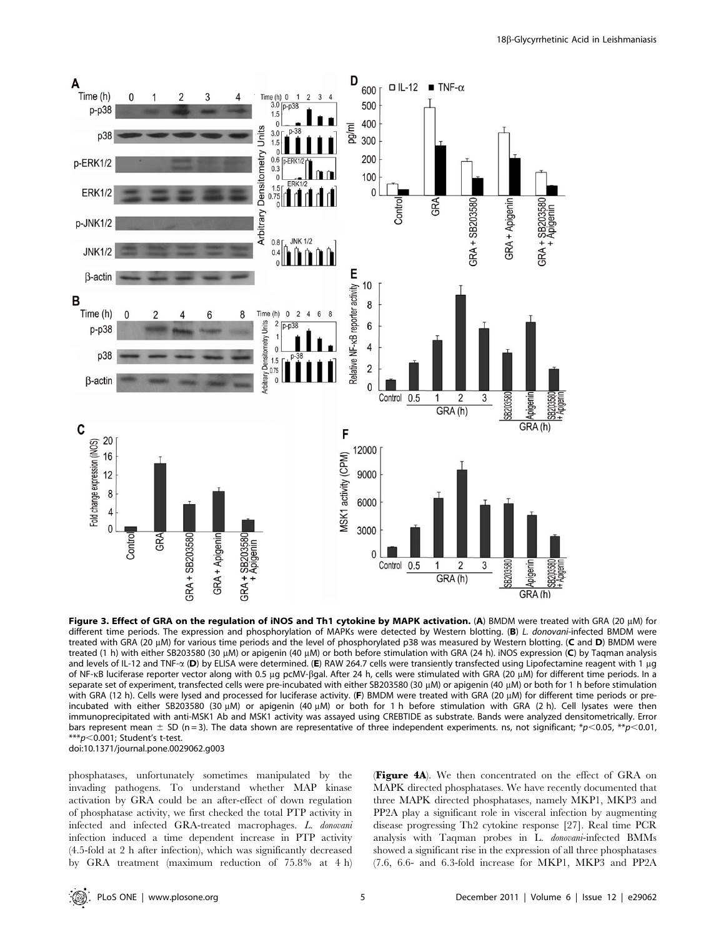

Figure 3. Effect of GRA on the regulation of iNOS and Th1 cytokine by MAPK activation. (A) BMDM were treated with GRA (20  $\mu$ M) for different time periods. The expression and phosphorylation of MAPKs were detected by Western blotting. (B) L. donovani-infected BMDM were treated with GRA (20  $\mu$ M) for various time periods and the level of phosphorylated p38 was measured by Western blotting. (C and D) BMDM were treated (1 h) with either SB203580 (30 μM) or apigenin (40 μM) or both before stimulation with GRA (24 h). iNOS expression (C) by Taqman analysis and levels of IL-12 and TNF- $\alpha$  (D) by ELISA were determined. (E) RAW 264.7 cells were transiently transfected using Lipofectamine reagent with 1 µg of NF-KB luciferase reporter vector along with 0.5 µg pcMV-ßgal. After 24 h, cells were stimulated with GRA (20 µM) for different time periods. In a separate set of experiment, transfected cells were pre-incubated with either SB203580 (30 µM) or apigenin (40 µM) or both for 1 h before stimulation with GRA (12 h). Cells were lysed and processed for luciferase activity. (F) BMDM were treated with GRA (20 µM) for different time periods or preincubated with either SB203580 (30  $\mu$ M) or apigenin (40  $\mu$ M) or both for 1 h before stimulation with GRA (2 h). Cell lysates were then immunoprecipitated with anti-MSK1 Ab and MSK1 activity was assayed using CREBTIDE as substrate. Bands were analyzed densitometrically. Error bars represent mean  $\pm$  SD (n = 3). The data shown are representative of three independent experiments. ns, not significant; \*p<0.05, \*\*p<0.01,  $***p<0.001$ ; Student's t-test. doi:10.1371/journal.pone.0029062.g003

phosphatases, unfortunately sometimes manipulated by the invading pathogens. To understand whether MAP kinase activation by GRA could be an after-effect of down regulation of phosphatase activity, we first checked the total PTP activity in infected and infected GRA-treated macrophages. L. donovani infection induced a time dependent increase in PTP activity (4.5-fold at 2 h after infection), which was significantly decreased by GRA treatment (maximum reduction of 75.8% at 4 h)

(Figure 4A). We then concentrated on the effect of GRA on MAPK directed phosphatases. We have recently documented that three MAPK directed phosphatases, namely MKP1, MKP3 and PP2A play a significant role in visceral infection by augmenting disease progressing Th2 cytokine response [27]. Real time PCR analysis with Taqman probes in L. donovani-infected BMMs showed a significant rise in the expression of all three phosphatases (7.6, 6.6- and 6.3-fold increase for MKP1, MKP3 and PP2A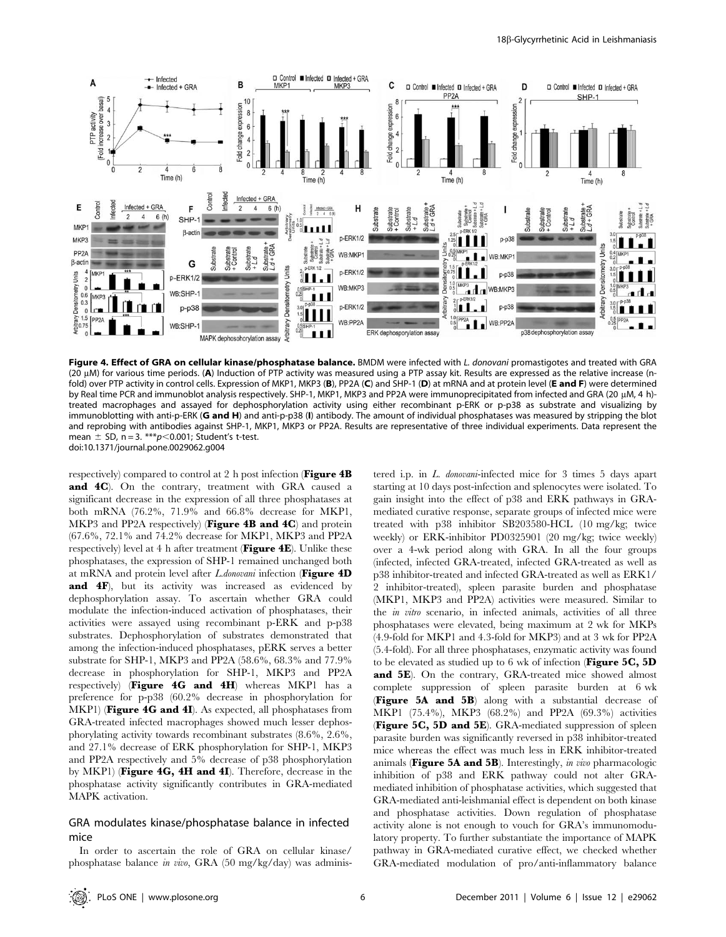

Figure 4. Effect of GRA on cellular kinase/phosphatase balance. BMDM were infected with L. donovani promastigotes and treated with GRA (20  $\mu$ M) for various time periods. (A) Induction of PTP activity was measured using a PTP assay kit. Results are expressed as the relative increase (nfold) over PTP activity in control cells. Expression of MKP1, MKP3 (B), PP2A (C) and SHP-1 (D) at mRNA and at protein level (E and F) were determined by Real time PCR and immunoblot analysis respectively. SHP-1, MKP1, MKP3 and PP2A were immunoprecipitated from infected and GRA (20 µM, 4 h)treated macrophages and assayed for dephosphorylation activity using either recombinant p-ERK or p-p38 as substrate and visualizing by immunoblotting with anti-p-ERK (G and H) and anti-p-p38 (I) antibody. The amount of individual phosphatases was measured by stripping the blot and reprobing with antibodies against SHP-1, MKP1, MKP3 or PP2A. Results are representative of three individual experiments. Data represent the mean  $\pm$  SD, n = 3. \*\*\*p $<$ 0.001; Student's t-test. doi:10.1371/journal.pone.0029062.g004

respectively) compared to control at 2 h post infection (**Figure 4B** and 4C). On the contrary, treatment with GRA caused a significant decrease in the expression of all three phosphatases at both mRNA (76.2%, 71.9% and 66.8% decrease for MKP1, MKP3 and PP2A respectively) (Figure 4B and 4C) and protein (67.6%, 72.1% and 74.2% decrease for MKP1, MKP3 and PP2A respectively) level at 4 h after treatment (Figure 4E). Unlike these phosphatases, the expression of SHP-1 remained unchanged both at mRNA and protein level after  $L$ .donovani infection (Figure 4D) and 4F), but its activity was increased as evidenced by dephosphorylation assay. To ascertain whether GRA could modulate the infection-induced activation of phosphatases, their activities were assayed using recombinant p-ERK and p-p38 substrates. Dephosphorylation of substrates demonstrated that among the infection-induced phosphatases, pERK serves a better substrate for SHP-1, MKP3 and PP2A (58.6%, 68.3% and 77.9% decrease in phosphorylation for SHP-1, MKP3 and PP2A respectively) (Figure 4G and 4H) whereas MKP1 has a preference for p-p38 (60.2% decrease in phosphorylation for MKP1) (Figure 4G and 4I). As expected, all phosphatases from GRA-treated infected macrophages showed much lesser dephosphorylating activity towards recombinant substrates (8.6%, 2.6%, and 27.1% decrease of ERK phosphorylation for SHP-1, MKP3 and PP2A respectively and 5% decrease of p38 phosphorylation by MKP1) (Figure 4G, 4H and 4I). Therefore, decrease in the phosphatase activity significantly contributes in GRA-mediated MAPK activation.

## GRA modulates kinase/phosphatase balance in infected mice

In order to ascertain the role of GRA on cellular kinase/ phosphatase balance in vivo, GRA (50 mg/kg/day) was administered i.p. in L. donovani-infected mice for 3 times 5 days apart starting at 10 days post-infection and splenocytes were isolated. To gain insight into the effect of p38 and ERK pathways in GRAmediated curative response, separate groups of infected mice were treated with p38 inhibitor SB203580-HCL (10 mg/kg; twice weekly) or ERK-inhibitor PD0325901 (20 mg/kg; twice weekly) over a 4-wk period along with GRA. In all the four groups (infected, infected GRA-treated, infected GRA-treated as well as p38 inhibitor-treated and infected GRA-treated as well as ERK1/ 2 inhibitor-treated), spleen parasite burden and phosphatase (MKP1, MKP3 and PP2A) activities were measured. Similar to the in vitro scenario, in infected animals, activities of all three phosphatases were elevated, being maximum at 2 wk for MKPs (4.9-fold for MKP1 and 4.3-fold for MKP3) and at 3 wk for PP2A (5.4-fold). For all three phosphatases, enzymatic activity was found to be elevated as studied up to  $6$  wk of infection (Figure 5C, 5D and 5E). On the contrary, GRA-treated mice showed almost complete suppression of spleen parasite burden at 6 wk (Figure 5A and 5B) along with a substantial decrease of MKP1 (75.4%), MKP3 (68.2%) and PP2A (69.3%) activities (Figure 5C, 5D and 5E). GRA-mediated suppression of spleen parasite burden was significantly reversed in p38 inhibitor-treated mice whereas the effect was much less in ERK inhibitor-treated animals (Figure 5A and 5B). Interestingly, in vivo pharmacologic inhibition of p38 and ERK pathway could not alter GRAmediated inhibition of phosphatase activities, which suggested that GRA-mediated anti-leishmanial effect is dependent on both kinase and phosphatase activities. Down regulation of phosphatase activity alone is not enough to vouch for GRA's immunomodulatory property. To further substantiate the importance of MAPK pathway in GRA-mediated curative effect, we checked whether GRA-mediated modulation of pro/anti-inflammatory balance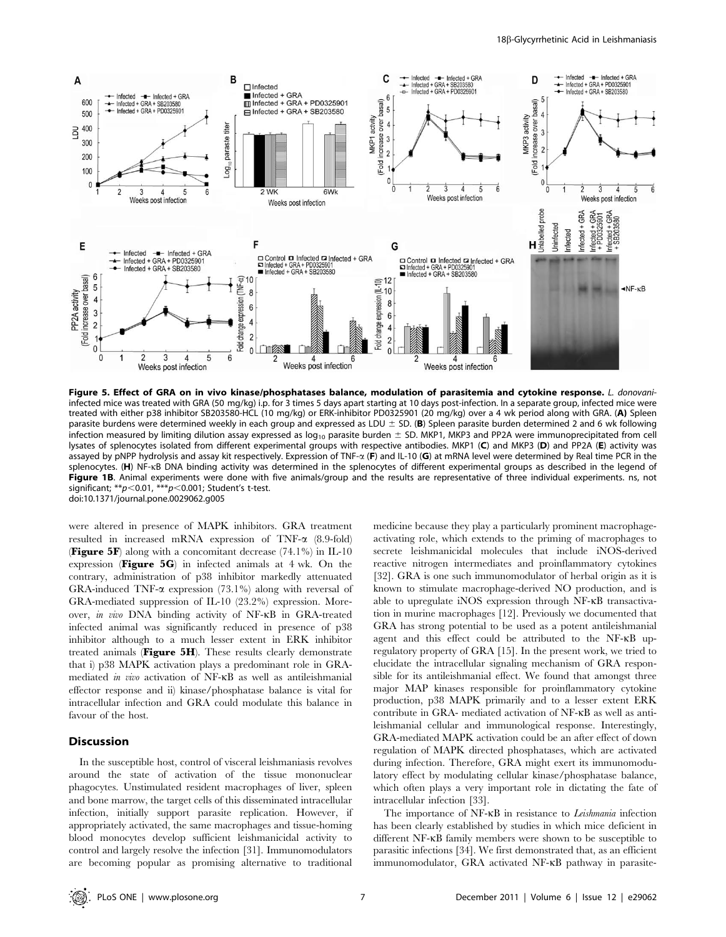

Figure 5. Effect of GRA on in vivo kinase/phosphatases balance, modulation of parasitemia and cytokine response. L. donovaniinfected mice was treated with GRA (50 mg/kg) i.p. for 3 times 5 days apart starting at 10 days post-infection. In a separate group, infected mice were treated with either p38 inhibitor SB203580-HCL (10 mg/kg) or ERK-inhibitor PD0325901 (20 mg/kg) over a 4 wk period along with GRA. (A) Spleen parasite burdens were determined weekly in each group and expressed as LDU  $\pm$  SD. (B) Spleen parasite burden determined 2 and 6 wk following infection measured by limiting dilution assay expressed as  $log_{10}$  parasite burden  $\pm$  SD. MKP1, MKP3 and PP2A were immunoprecipitated from cell lysates of splenocytes isolated from different experimental groups with respective antibodies. MKP1 (C) and MKP3 (D) and PP2A (E) activity was assayed by pNPP hydrolysis and assay kit respectively. Expression of TNF- $\alpha$  (F) and IL-10 (G) at mRNA level were determined by Real time PCR in the splenocytes. (H) NF-kB DNA binding activity was determined in the splenocytes of different experimental groups as described in the legend of Figure 1B. Animal experiments were done with five animals/group and the results are representative of three individual experiments. ns, not significant:  $*p$ <0.01,  $**p$ <0.001; Student's t-test. doi:10.1371/journal.pone.0029062.g005

were altered in presence of MAPK inhibitors. GRA treatment resulted in increased mRNA expression of TNF- $\alpha$  (8.9-fold) **(Figure 5F)** along with a concomitant decrease  $(74.1\%)$  in IL-10 expression (**Figure 5G**) in infected animals at  $4$  wk. On the contrary, administration of p38 inhibitor markedly attenuated GRA-induced TNF- $\alpha$  expression (73.1%) along with reversal of GRA-mediated suppression of IL-10 (23.2%) expression. Moreover, in vivo DNA binding activity of NF-kB in GRA-treated infected animal was significantly reduced in presence of p38 inhibitor although to a much lesser extent in ERK inhibitor treated animals (Figure 5H). These results clearly demonstrate that i) p38 MAPK activation plays a predominant role in GRAmediated in vivo activation of NF-kB as well as antileishmanial effector response and ii) kinase/phosphatase balance is vital for intracellular infection and GRA could modulate this balance in favour of the host.

## Discussion

In the susceptible host, control of visceral leishmaniasis revolves around the state of activation of the tissue mononuclear phagocytes. Unstimulated resident macrophages of liver, spleen and bone marrow, the target cells of this disseminated intracellular infection, initially support parasite replication. However, if appropriately activated, the same macrophages and tissue-homing blood monocytes develop sufficient leishmanicidal activity to control and largely resolve the infection [31]. Immunomodulators are becoming popular as promising alternative to traditional medicine because they play a particularly prominent macrophageactivating role, which extends to the priming of macrophages to secrete leishmanicidal molecules that include iNOS-derived reactive nitrogen intermediates and proinflammatory cytokines [32]. GRA is one such immunomodulator of herbal origin as it is known to stimulate macrophage-derived NO production, and is able to upregulate iNOS expression through NF-kB transactivation in murine macrophages [12]. Previously we documented that GRA has strong potential to be used as a potent antileishmanial agent and this effect could be attributed to the NF-kB upregulatory property of GRA [15]. In the present work, we tried to elucidate the intracellular signaling mechanism of GRA responsible for its antileishmanial effect. We found that amongst three major MAP kinases responsible for proinflammatory cytokine production, p38 MAPK primarily and to a lesser extent ERK contribute in GRA- mediated activation of NF-kB as well as antileishmanial cellular and immunological response. Interestingly, GRA-mediated MAPK activation could be an after effect of down regulation of MAPK directed phosphatases, which are activated during infection. Therefore, GRA might exert its immunomodulatory effect by modulating cellular kinase/phosphatase balance, which often plays a very important role in dictating the fate of intracellular infection [33].

The importance of NF-KB in resistance to *Leishmania* infection has been clearly established by studies in which mice deficient in different NF-kB family members were shown to be susceptible to parasitic infections [34]. We first demonstrated that, as an efficient immunomodulator, GRA activated NF-kB pathway in parasite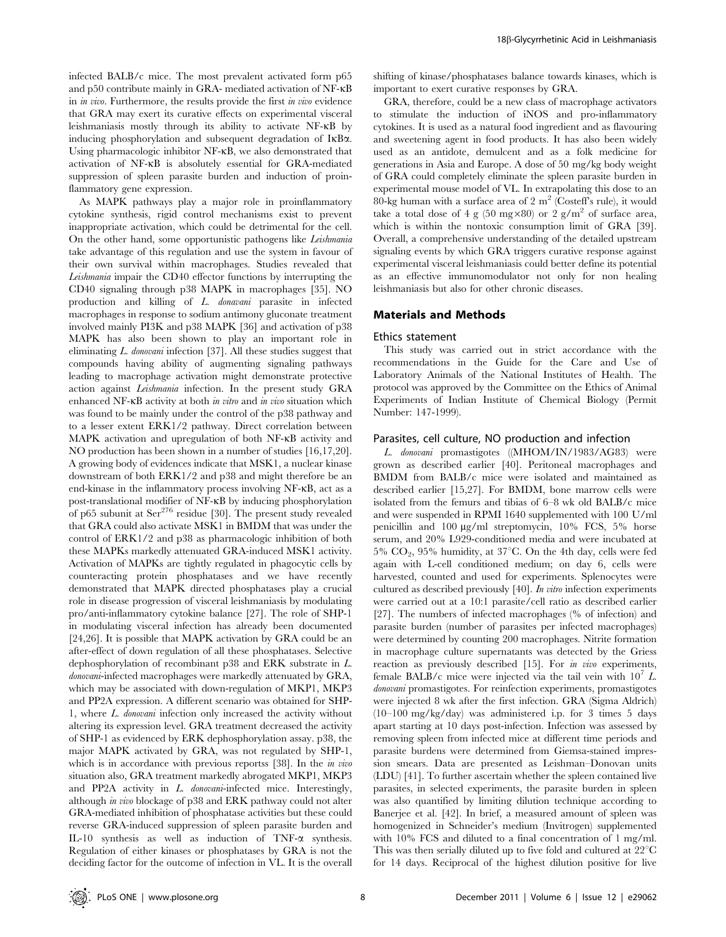infected BALB/c mice. The most prevalent activated form p65 and p50 contribute mainly in GRA- mediated activation of NF-kB in in vivo. Furthermore, the results provide the first in vivo evidence that GRA may exert its curative effects on experimental visceral leishmaniasis mostly through its ability to activate NF-kB by inducing phosphorylation and subsequent degradation of IkBa. Using pharmacologic inhibitor NF- $\kappa$ B, we also demonstrated that activation of NF-kB is absolutely essential for GRA-mediated suppression of spleen parasite burden and induction of proinflammatory gene expression.

As MAPK pathways play a major role in proinflammatory cytokine synthesis, rigid control mechanisms exist to prevent inappropriate activation, which could be detrimental for the cell. On the other hand, some opportunistic pathogens like Leishmania take advantage of this regulation and use the system in favour of their own survival within macrophages. Studies revealed that Leishmania impair the CD40 effector functions by interrupting the CD40 signaling through p38 MAPK in macrophages [35]. NO production and killing of L. donavani parasite in infected macrophages in response to sodium antimony gluconate treatment involved mainly PI3K and p38 MAPK [36] and activation of p38 MAPK has also been shown to play an important role in eliminating L. donovani infection [37]. All these studies suggest that compounds having ability of augmenting signaling pathways leading to macrophage activation might demonstrate protective action against Leishmania infection. In the present study GRA enhanced NF-KB activity at both in vitro and in vivo situation which was found to be mainly under the control of the p38 pathway and to a lesser extent ERK1/2 pathway. Direct correlation between MAPK activation and upregulation of both NF-kB activity and NO production has been shown in a number of studies [16,17,20]. A growing body of evidences indicate that MSK1, a nuclear kinase downstream of both ERK1/2 and p38 and might therefore be an end-kinase in the inflammatory process involving NF-kB, act as a post-translational modifier of NF-kB by inducing phosphorylation of p65 subunit at  $\text{Ser}^{276}$  residue [30]. The present study revealed that GRA could also activate MSK1 in BMDM that was under the control of ERK1/2 and p38 as pharmacologic inhibition of both these MAPKs markedly attenuated GRA-induced MSK1 activity. Activation of MAPKs are tightly regulated in phagocytic cells by counteracting protein phosphatases and we have recently demonstrated that MAPK directed phosphatases play a crucial role in disease progression of visceral leishmaniasis by modulating pro/anti-inflammatory cytokine balance [27]. The role of SHP-1 in modulating visceral infection has already been documented [24,26]. It is possible that MAPK activation by GRA could be an after-effect of down regulation of all these phosphatases. Selective dephosphorylation of recombinant p38 and ERK substrate in L. donovani-infected macrophages were markedly attenuated by GRA, which may be associated with down-regulation of MKP1, MKP3 and PP2A expression. A different scenario was obtained for SHP-1, where L. donovani infection only increased the activity without altering its expression level. GRA treatment decreased the activity of SHP-1 as evidenced by ERK dephosphorylation assay. p38, the major MAPK activated by GRA, was not regulated by SHP-1, which is in accordance with previous reportss [38]. In the *in vivo* situation also, GRA treatment markedly abrogated MKP1, MKP3 and PP2A activity in L. donovani-infected mice. Interestingly, although in vivo blockage of p38 and ERK pathway could not alter GRA-mediated inhibition of phosphatase activities but these could reverse GRA-induced suppression of spleen parasite burden and IL-10 synthesis as well as induction of TNF-a synthesis. Regulation of either kinases or phosphatases by GRA is not the deciding factor for the outcome of infection in VL. It is the overall

shifting of kinase/phosphatases balance towards kinases, which is important to exert curative responses by GRA.

GRA, therefore, could be a new class of macrophage activators to stimulate the induction of iNOS and pro-inflammatory cytokines. It is used as a natural food ingredient and as flavouring and sweetening agent in food products. It has also been widely used as an antidote, demulcent and as a folk medicine for generations in Asia and Europe. A dose of 50 mg/kg body weight of GRA could completely eliminate the spleen parasite burden in experimental mouse model of VL. In extrapolating this dose to an 80-kg human with a surface area of 2  $m<sup>2</sup>$  (Costeff's rule), it would take a total dose of 4 g (50 mg $\times$ 80) or 2 g/m<sup>2</sup> of surface area, which is within the nontoxic consumption limit of GRA [39]. Overall, a comprehensive understanding of the detailed upstream signaling events by which GRA triggers curative response against experimental visceral leishmaniasis could better define its potential as an effective immunomodulator not only for non healing leishmaniasis but also for other chronic diseases.

## Materials and Methods

#### Ethics statement

This study was carried out in strict accordance with the recommendations in the Guide for the Care and Use of Laboratory Animals of the National Institutes of Health. The protocol was approved by the Committee on the Ethics of Animal Experiments of Indian Institute of Chemical Biology (Permit Number: 147-1999).

## Parasites, cell culture, NO production and infection

L. donovani promastigotes ((MHOM/IN/1983/AG83) were grown as described earlier [40]. Peritoneal macrophages and BMDM from BALB/c mice were isolated and maintained as described earlier [15,27]. For BMDM, bone marrow cells were isolated from the femurs and tibias of 6–8 wk old BALB/c mice and were suspended in RPMI 1640 supplemented with 100 U/ml penicillin and 100 mg/ml streptomycin, 10% FCS, 5% horse serum, and 20% L929-conditioned media and were incubated at 5%  $CO<sub>2</sub>$ , 95% humidity, at 37°C. On the 4th day, cells were fed again with L-cell conditioned medium; on day 6, cells were harvested, counted and used for experiments. Splenocytes were cultured as described previously [40]. In vitro infection experiments were carried out at a 10:1 parasite/cell ratio as described earlier [27]. The numbers of infected macrophages (% of infection) and parasite burden (number of parasites per infected macrophages) were determined by counting 200 macrophages. Nitrite formation in macrophage culture supernatants was detected by the Griess reaction as previously described [15]. For *in vivo* experiments, female BALB/c mice were injected via the tail vein with  $10<sup>7</sup>$  L. donovani promastigotes. For reinfection experiments, promastigotes were injected 8 wk after the first infection. GRA (Sigma Aldrich)  $(10-100 \text{ mg/kg/day})$  was administered i.p. for 3 times 5 days apart starting at 10 days post-infection. Infection was assessed by removing spleen from infected mice at different time periods and parasite burdens were determined from Giemsa-stained impression smears. Data are presented as Leishman–Donovan units (LDU) [41]. To further ascertain whether the spleen contained live parasites, in selected experiments, the parasite burden in spleen was also quantified by limiting dilution technique according to Banerjee et al. [42]. In brief, a measured amount of spleen was homogenized in Schneider's medium (Invitrogen) supplemented with 10% FCS and diluted to a final concentration of 1 mg/ml. This was then serially diluted up to five fold and cultured at  $22^{\circ}$ C for 14 days. Reciprocal of the highest dilution positive for live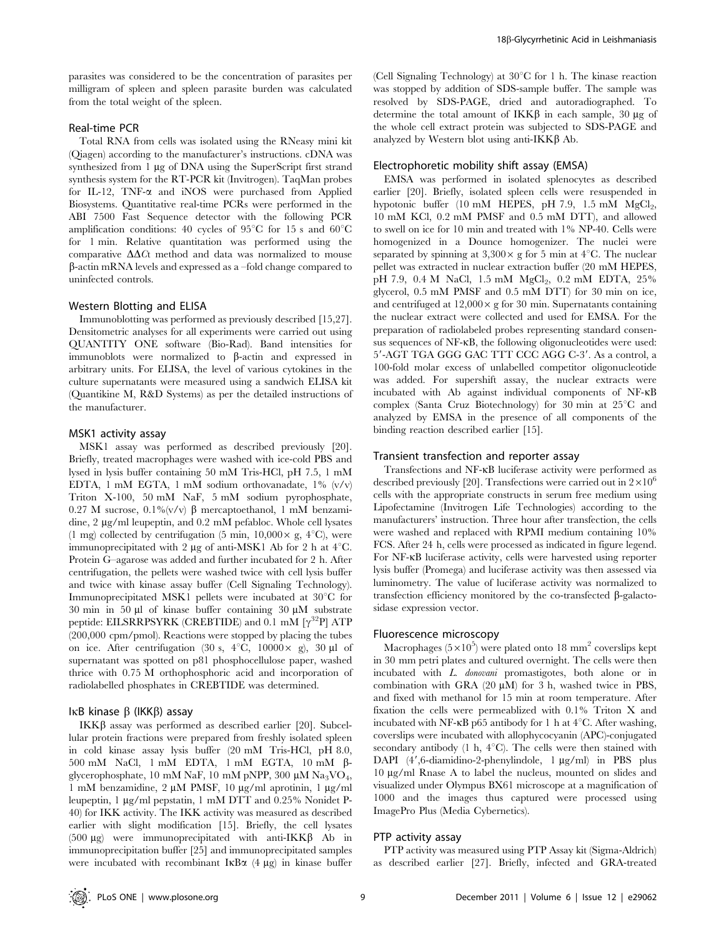parasites was considered to be the concentration of parasites per milligram of spleen and spleen parasite burden was calculated from the total weight of the spleen.

## Real-time PCR

Total RNA from cells was isolated using the RNeasy mini kit (Qiagen) according to the manufacturer's instructions. cDNA was synthesized from  $\overline{1}$  µg of DNA using the SuperScript first strand synthesis system for the RT-PCR kit (Invitrogen). TaqMan probes for IL-12, TNF-a and iNOS were purchased from Applied Biosystems. Quantitative real-time PCRs were performed in the ABI 7500 Fast Sequence detector with the following PCR amplification conditions: 40 cycles of 95 $\degree$ C for 15 s and 60 $\degree$ C for 1 min. Relative quantitation was performed using the comparative  $\Delta\Delta Ct$  method and data was normalized to mouse b-actin mRNA levels and expressed as a –fold change compared to uninfected controls.

#### Western Blotting and ELISA

Immunoblotting was performed as previously described [15,27]. Densitometric analyses for all experiments were carried out using QUANTITY ONE software (Bio-Rad). Band intensities for immunoblots were normalized to  $\beta$ -actin and expressed in arbitrary units. For ELISA, the level of various cytokines in the culture supernatants were measured using a sandwich ELISA kit (Quantikine M, R&D Systems) as per the detailed instructions of the manufacturer.

## MSK1 activity assay

MSK1 assay was performed as described previously [20]. Briefly, treated macrophages were washed with ice-cold PBS and lysed in lysis buffer containing 50 mM Tris-HCl, pH 7.5, 1 mM EDTA, 1 mM EGTA, 1 mM sodium orthovanadate, 1% (v/v) Triton X-100, 50 mM NaF, 5 mM sodium pyrophosphate, 0.27 M sucrose,  $0.1\%$  (v/v)  $\beta$  mercaptoethanol, 1 mM benzamidine, 2 µg/ml leupeptin, and 0.2 mM pefabloc. Whole cell lysates (1 mg) collected by centrifugation (5 min,  $10,000 \times g$ ,  $4^{\circ}$ C), were immunoprecipitated with 2  $\mu$ g of anti-MSK1 Ab for 2 h at 4 $\rm ^{\circ}C$ . Protein G–agarose was added and further incubated for 2 h. After centrifugation, the pellets were washed twice with cell lysis buffer and twice with kinase assay buffer (Cell Signaling Technology). Immunoprecipitated MSK1 pellets were incubated at 30°C for 30 min in 50  $\mu$ l of kinase buffer containing 30  $\mu$ M substrate peptide: EILSRRPSYRK (CREBTIDE) and 0.1 mM  $[\gamma^{32}P]$  ATP (200,000 cpm/pmol). Reactions were stopped by placing the tubes on ice. After centrifugation (30 s,  $4^{\circ}C$ , 10000 × g), 30 µl of supernatant was spotted on p81 phosphocellulose paper, washed thrice with 0.75 M orthophosphoric acid and incorporation of radiolabelled phosphates in CREBTIDE was determined.

## I $\kappa$ B kinase  $\beta$  (IKK $\beta$ ) assay

IKK $\beta$  assay was performed as described earlier [20]. Subcellular protein fractions were prepared from freshly isolated spleen in cold kinase assay lysis buffer (20 mM Tris-HCl, pH 8.0, 500 mM NaCl, 1 mM EDTA, 1 mM EGTA, 10 mM bglycerophosphate, 10 mM NaF, 10 mM pNPP, 300 µM Na<sub>3</sub>VO<sub>4</sub>, 1 mM benzamidine, 2 μM PMSF, 10 μg/ml aprotinin, 1 μg/ml leupeptin, 1 mg/ml pepstatin, 1 mM DTT and 0.25% Nonidet P-40) for IKK activity. The IKK activity was measured as described earlier with slight modification [15]. Briefly, the cell lysates (500  $\mu$ g) were immunoprecipitated with anti-IKK $\beta$  Ab in immunoprecipitation buffer [25] and immunoprecipitated samples were incubated with recombinant  $I \kappa B \alpha$  (4  $\mu$ g) in kinase buffer

(Cell Signaling Technology) at  $30^{\circ}$ C for 1 h. The kinase reaction was stopped by addition of SDS-sample buffer. The sample was resolved by SDS-PAGE, dried and autoradiographed. To determine the total amount of  $IKK\beta$  in each sample, 30  $\mu$ g of the whole cell extract protein was subjected to SDS-PAGE and analyzed by Western blot using anti- $IKK\beta$  Ab.

## Electrophoretic mobility shift assay (EMSA)

EMSA was performed in isolated splenocytes as described earlier [20]. Briefly, isolated spleen cells were resuspended in hypotonic buffer (10 mM HEPES, pH 7.9, 1.5 mM  $MgCl<sub>2</sub>$ , 10 mM KCl, 0.2 mM PMSF and 0.5 mM DTT), and allowed to swell on ice for 10 min and treated with 1% NP-40. Cells were homogenized in a Dounce homogenizer. The nuclei were separated by spinning at  $3,300 \times g$  for 5 min at 4<sup>°</sup>C. The nuclear pellet was extracted in nuclear extraction buffer (20 mM HEPES, pH 7.9, 0.4 M NaCl, 1.5 mM MgCl<sub>2</sub>, 0.2 mM EDTA, 25% glycerol, 0.5 mM PMSF and 0.5 mM DTT) for 30 min on ice, and centrifuged at  $12,000 \times g$  for 30 min. Supernatants containing the nuclear extract were collected and used for EMSA. For the preparation of radiolabeled probes representing standard consensus sequences of NF-kB, the following oligonucleotides were used: 5'-AGT TGA GGG GAC TTT CCC AGG C-3'. As a control, a 100-fold molar excess of unlabelled competitor oligonucleotide was added. For supershift assay, the nuclear extracts were incubated with Ab against individual components of NF-kB complex (Santa Cruz Biotechnology) for 30 min at  $25^{\circ}$ C and analyzed by EMSA in the presence of all components of the binding reaction described earlier [15].

#### Transient transfection and reporter assay

Transfections and NF-kB luciferase activity were performed as described previously [20]. Transfections were carried out in  $2\times10^6$ cells with the appropriate constructs in serum free medium using Lipofectamine (Invitrogen Life Technologies) according to the manufacturers' instruction. Three hour after transfection, the cells were washed and replaced with RPMI medium containing 10% FCS. After 24 h, cells were processed as indicated in figure legend. For NF-kB luciferase activity, cells were harvested using reporter lysis buffer (Promega) and luciferase activity was then assessed via luminometry. The value of luciferase activity was normalized to transfection efficiency monitored by the co-transfected  $\beta$ -galactosidase expression vector.

## Fluorescence microscopy

Macrophages  $(5 \times 10^5)$  were plated onto 18 mm<sup>2</sup> coverslips kept in 30 mm petri plates and cultured overnight. The cells were then incubated with L. donovani promastigotes, both alone or in combination with GRA  $(20 \mu M)$  for 3 h, washed twice in PBS, and fixed with methanol for 15 min at room temperature. After fixation the cells were permeablized with 0.1% Triton X and incubated with NF- $\kappa$ B p65 antibody for 1 h at 4 $\rm{°C}$ . After washing, coverslips were incubated with allophycocyanin (APC)-conjugated secondary antibody (1 h,  $4^{\circ}$ C). The cells were then stained with DAPI (4',6-diamidino-2-phenylindole, 1 µg/ml) in PBS plus  $10 \mu g/ml$  Rnase A to label the nucleus, mounted on slides and visualized under Olympus BX61 microscope at a magnification of 1000 and the images thus captured were processed using ImagePro Plus (Media Cybernetics).

## PTP activity assay

PTP activity was measured using PTP Assay kit (Sigma-Aldrich) as described earlier [27]. Briefly, infected and GRA-treated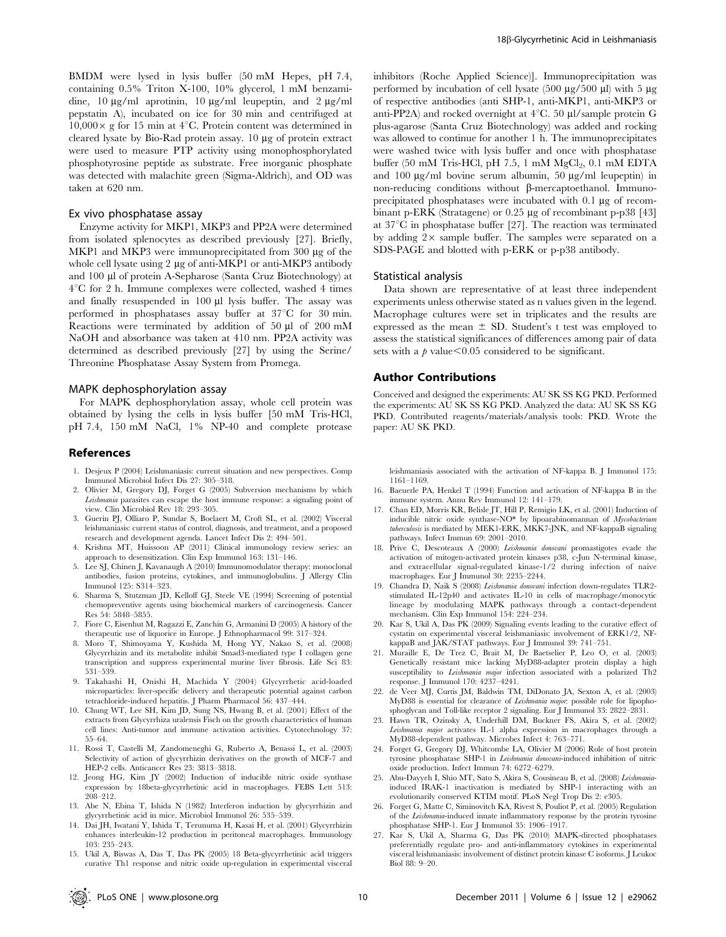BMDM were lysed in lysis buffer (50 mM Hepes, pH 7.4, containing 0.5% Triton X-100, 10% glycerol, 1 mM benzamidine,  $10 \mu g/ml$  aprotinin,  $10 \mu g/ml$  leupeptin, and  $2 \mu g/ml$ pepstatin A), incubated on ice for 30 min and centrifuged at  $10,000 \times$  g for 15 min at 4<sup>°</sup>C. Protein content was determined in cleared lysate by Bio-Rad protein assay. 10 µg of protein extract were used to measure PTP activity using monophosphorylated phosphotyrosine peptide as substrate. Free inorganic phosphate was detected with malachite green (Sigma-Aldrich), and OD was taken at 620 nm.

## Ex vivo phosphatase assay

Enzyme activity for MKP1, MKP3 and PP2A were determined from isolated splenocytes as described previously [27]. Briefly, MKP1 and MKP3 were immunoprecipitated from 300 µg of the whole cell lysate using  $2 \mu$ g of anti-MKP1 or anti-MKP3 antibody and 100 µl of protein A-Sepharose (Santa Cruz Biotechnology) at  $4^{\circ}$ C for 2 h. Immune complexes were collected, washed 4 times and finally resuspended in  $100 \mu l$  lysis buffer. The assay was performed in phosphatases assay buffer at  $37^{\circ}$ C for 30 min. Reactions were terminated by addition of 50  $\mu$ l of 200 mM NaOH and absorbance was taken at 410 nm. PP2A activity was determined as described previously [27] by using the Serine/ Threonine Phosphatase Assay System from Promega.

#### MAPK dephosphorylation assay

For MAPK dephosphorylation assay, whole cell protein was obtained by lysing the cells in lysis buffer [50 mM Tris-HCl, pH 7.4, 150 mM NaCl, 1% NP-40 and complete protease

## References

- 1. Desjeux P (2004) Leishmaniasis: current situation and new perspectives. Comp Immunol Microbiol Infect Dis 27: 305–318.
- 2. Olivier M, Gregory DJ, Forget G (2005) Subversion mechanisms by which Leishmania parasites can escape the host immune response: a signaling point of view. Clin Microbiol Rev 18: 293–305.
- 3. Guerin PJ, Olliaro P, Sundar S, Boelaert M, Croft SL, et al. (2002) Visceral leishmaniasis: current status of control, diagnosis, and treatment, and a proposed research and development agenda. Lancet Infect Dis 2: 494–501.
- 4. Krishna MT, Huissoon AP (2011) Clinical immunology review series: an approach to desensitization. Clin Exp Immunol 163: 131–146.
- 5. Lee SJ, Chinen J, Kavanaugh A (2010) Immunomodulator therapy: monoclonal antibodies, fusion proteins, cytokines, and immunoglobulins. J Allergy Clin Immunol 125: S314–323.
- 6. Sharma S, Stutzman JD, Kelloff GJ, Steele VE (1994) Screening of potential chemopreventive agents using biochemical markers of carcinogenesis. Cancer Res 54: 5848–5855.
- 7. Fiore C, Eisenhut M, Ragazzi E, Zanchin G, Armanini D (2005) A history of the therapeutic use of liquorice in Europe. J Ethnopharmacol 99: 317–324.
- 8. Moro T, Shimoyama Y, Kushida M, Hong YY, Nakao S, et al. (2008) Glycyrrhizin and its metabolite inhibit Smad3-mediated type I collagen gene transcription and suppress experimental murine liver fibrosis. Life Sci 83: 531–539.
- 9. Takahashi H, Onishi H, Machida Y (2004) Glycyrrhetic acid-loaded microparticles: liver-specific delivery and therapeutic potential against carbon tetrachloride-induced hepatitis. J Pharm Pharmacol 56: 437–444.
- 10. Chung WT, Lee SH, Kim JD, Sung NS, Hwang B, et al. (2001) Effect of the extracts from Glycyrrhiza uralensis Fisch on the growth characteristics of human cell lines: Anti-tumor and immune activation activities. Cytotechnology 37: 55–64.
- 11. Rossi T, Castelli M, Zandomeneghi G, Ruberto A, Benassi L, et al. (2003) Selectivity of action of glycyrrhizin derivatives on the growth of MCF-7 and HEP-2 cells. Anticancer Res 23: 3813–3818.
- 12. Jeong HG, Kim JY (2002) Induction of inducible nitric oxide synthase expression by 18beta-glycyrrhetinic acid in macrophages. FEBS Lett 513: 208–212.
- 13. Abe N, Ebina T, Ishida N (1982) Interferon induction by glycyrrhizin and glycyrrhetinic acid in mice. Microbiol Immunol 26: 535–539.
- 14. Dai JH, Iwatani Y, Ishida T, Terunuma H, Kasai H, et al. (2001) Glycyrrhizin enhances interleukin-12 production in peritoneal macrophages. Immunology 103: 235–243.

inhibitors (Roche Applied Science)]. Immunoprecipitation was performed by incubation of cell lysate (500  $\mu$ g/500  $\mu$ l) with 5  $\mu$ g of respective antibodies (anti SHP-1, anti-MKP1, anti-MKP3 or anti-PP2A) and rocked overnight at  $4^{\circ}$ C. 50 µl/sample protein G plus-agarose (Santa Cruz Biotechnology) was added and rocking was allowed to continue for another 1 h. The immunoprecipitates were washed twice with lysis buffer and once with phosphatase buffer (50 mM Tris-HCl, pH 7.5, 1 mM  $MgCl<sub>2</sub>$ , 0.1 mM EDTA and  $100 \mu g/ml$  bovine serum albumin,  $50 \mu g/ml$  leupeptin) in non-reducing conditions without  $\beta$ -mercaptoethanol. Immunoprecipitated phosphatases were incubated with  $0.1 \mu$ g of recombinant p-ERK (Stratagene) or 0.25 µg of recombinant p-p38 [43] at  $37^{\circ}$ C in phosphatase buffer [27]. The reaction was terminated by adding  $2 \times$  sample buffer. The samples were separated on a SDS-PAGE and blotted with p-ERK or p-p38 antibody.

## Statistical analysis

Data shown are representative of at least three independent experiments unless otherwise stated as n values given in the legend. Macrophage cultures were set in triplicates and the results are expressed as the mean  $\pm$  SD. Student's t test was employed to assess the statistical significances of differences among pair of data sets with a  $p$  value $<0.05$  considered to be significant.

## Author Contributions

Conceived and designed the experiments: AU SK SS KG PKD. Performed the experiments: AU SK SS KG PKD. Analyzed the data: AU SK SS KG PKD. Contributed reagents/materials/analysis tools: PKD. Wrote the paper: AU SK PKD.

leishmaniasis associated with the activation of NF-kappa B. J Immunol 175: 1161–1169.

- 16. Baeuerle PA, Henkel T (1994) Function and activation of NF-kappa B in the immune system. Annu Rev Immunol 12: 141–179.
- 17. Chan ED, Morris KR, Belisle JT, Hill P, Remigio LK, et al. (2001) Induction of inducible nitric oxide synthase-NO\* by lipoarabinomannan of Mycobacterium tuberculosis is mediated by MEK1-ERK, MKK7-JNK, and NF-kappaB signaling pathways. Infect Immun 69: 2001–2010.
- 18. Prive C, Descoteaux A (2000) Leishmania donovani promastigotes evade the activation of mitogen-activated protein kinases p38, c-Jun N-terminal kinase, and extracellular signal-regulated kinase-1/2 during infection of naive macrophages. Eur J Immunol 30: 2235–2244.
- 19. Chandra D, Naik S (2008) Leishmania donovani infection down-regulates TLR2 stimulated IL-12p40 and activates IL-10 in cells of macrophage/monocytic lineage by modulating MAPK pathways through a contact-dependent mechanism. Clin Exp Immunol 154: 224–234.
- 20. Kar S, Ukil A, Das PK (2009) Signaling events leading to the curative effect of cystatin on experimental visceral leishmaniasis: involvement of ERK1/2, NFkappaB and JAK/STAT pathways. Eur J Immunol 39: 741–751.
- 21. Muraille E, De Trez C, Brait M, De Baetselier P, Leo O, et al. (2003) Genetically resistant mice lacking MyD88-adapter protein display a high susceptibility to *Leishmania major* infection associated with a polarized Th<sub>2</sub> response. J Immunol 170: 4237–4241.
- 22. de Veer MJ, Curtis JM, Baldwin TM, DiDonato JA, Sexton A, et al. (2003) MyD88 is essential for clearance of Leishmania major: possible role for lipophosphoglycan and Toll-like receptor 2 signaling. Eur J Immunol 33: 2822–2831.
- 23. Hawn TR, Ozinsky A, Underhill DM, Buckner FS, Akira S, et al. (2002) Leishmania major activates IL-1 alpha expression in macrophages through a MyD88-dependent pathway. Microbes Infect 4: 763–771.
- 24. Forget G, Gregory DJ, Whitcombe LA, Olivier M (2006) Role of host protein tyrosine phosphatase SHP-1 in Leishmania donovani-induced inhibition of nitric oxide production. Infect Immun 74: 6272–6279.
- 25. Abu-Dayyeh I, Shio MT, Sato S, Akira S, Cousineau B, et al. (2008) Leishmaniainduced IRAK-1 inactivation is mediated by SHP-1 interacting with an evolutionarily conserved KTIM motif. PLoS Negl Trop Dis 2: e305.
- 26. Forget G, Matte C, Siminovitch KA, Rivest S, Pouliot P, et al. (2005) Regulation of the Leishmania-induced innate inflammatory response by the protein tyrosine phosphatase SHP-1. Eur J Immunol 35: 1906–1917.
- 27. Kar S, Ukil A, Sharma G, Das PK (2010) MAPK-directed phosphatases preferentially regulate pro- and anti-inflammatory cytokines in experimental visceral leishmaniasis: involvement of distinct protein kinase C isoforms. J Leukoc Biol 88: 9–20.